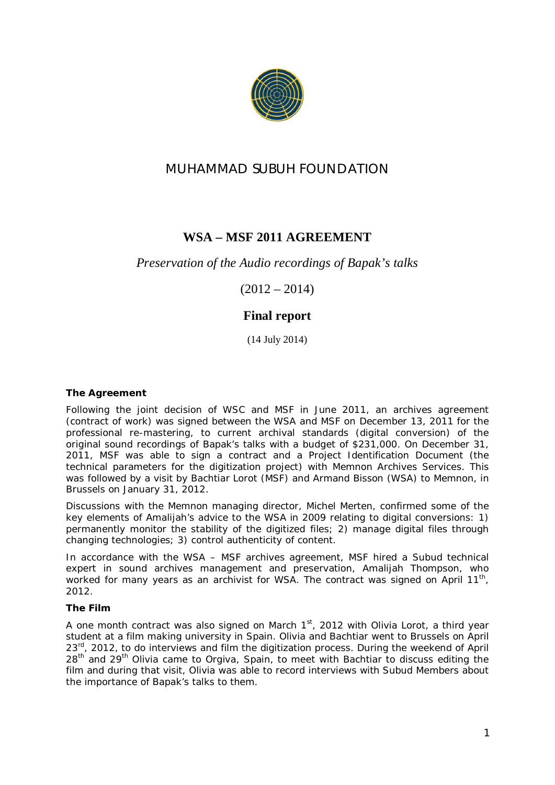

# **MUHAMMAD SUBUH FOUNDATION**

## **WSA – MSF 2011 AGREEMENT**

### *Preservation of the Audio recordings of Bapak's talks*

 $(2012 - 2014)$ 

## **Final report**

(14 July 2014)

**The Agreement** 

Following the joint decision of WSC and MSF in June 2011, an archives agreement (contract of work) was signed between the WSA and MSF on December 13, 2011 for the professional re-mastering, to current archival standards (digital conversion) of the original sound recordings of Bapak's talks with a budget of \$231,000. On December 31, 2011, MSF was able to sign a contract and a Project Identification Document (the technical parameters for the digitization project) with Memnon Archives Services. This was followed by a visit by Bachtiar Lorot (MSF) and Armand Bisson (WSA) to Memnon, in Brussels on January 31, 2012.

Discussions with the Memnon managing director, Michel Merten, confirmed some of the key elements of Amalijah's advice to the WSA in 2009 relating to digital conversions: 1) permanently monitor the stability of the digitized files; 2) manage digital files through changing technologies; 3) control authenticity of content.

In accordance with the WSA – MSF archives agreement, MSF hired a Subud technical expert in sound archives management and preservation, Amalijah Thompson, who worked for many years as an archivist for WSA. The contract was signed on April 11<sup>th</sup>, 2012.

### **The Film**

A one month contract was also signed on March  $1<sup>st</sup>$ , 2012 with Olivia Lorot, a third year student at a film making university in Spain. Olivia and Bachtiar went to Brussels on April 23<sup>rd</sup>, 2012, to do interviews and film the digitization process. During the weekend of April 28<sup>th</sup> and 29<sup>th</sup> Olivia came to Orgiva, Spain, to meet with Bachtiar to discuss editing the film and during that visit, Olivia was able to record interviews with Subud Members about the importance of Bapak's talks to them.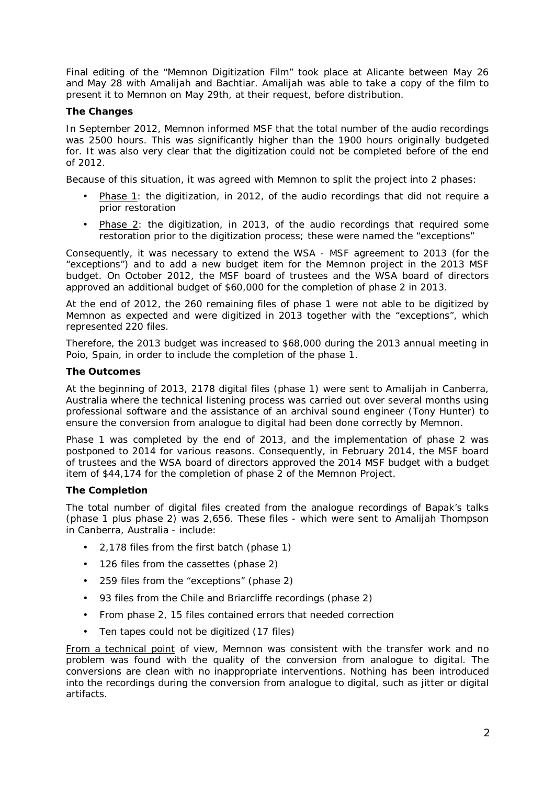Final editing of the "Memnon Digitization Film" took place at Alicante between May 26 and May 28 with Amalijah and Bachtiar. Amalijah was able to take a copy of the film to present it to Memnon on May 29th, at their request, before distribution.

#### **The Changes**

In September 2012, Memnon informed MSF that the total number of the audio recordings was 2500 hours. This was significantly higher than the 1900 hours originally budgeted for. It was also very clear that the digitization could not be completed before of the end of 2012.

Because of this situation, it was agreed with Memnon to split the project into 2 phases:

- Phase 1: the digitization, in 2012, of the audio recordings that did not require a prior restoration
- Phase 2: the digitization, in 2013, of the audio recordings that required some restoration prior to the digitization process; these were named the "exceptions"

Consequently, it was necessary to extend the WSA - MSF agreement to 2013 (for the "exceptions") and to add a new budget item for the Memnon project in the 2013 MSF budget. On October 2012, the MSF board of trustees and the WSA board of directors approved an additional budget of \$60,000 for the completion of phase 2 in 2013.

At the end of 2012, the 260 remaining files of phase 1 were not able to be digitized by Memnon as expected and were digitized in 2013 together with the "exceptions", which represented 220 files.

Therefore, the 2013 budget was increased to \$68,000 during the 2013 annual meeting in Poio, Spain, in order to include the completion of the phase 1.

#### **The Outcomes**

At the beginning of 2013, 2178 digital files (phase 1) were sent to Amalijah in Canberra, Australia where the *technical listening process* was carried out over several months using professional software and the assistance of an archival sound engineer (Tony Hunter) to ensure the conversion from analogue to digital had been done correctly by Memnon.

Phase 1 was completed by the end of 2013, and the implementation of phase 2 was postponed to 2014 for various reasons. Consequently, in February 2014, the MSF board of trustees and the WSA board of directors approved the 2014 MSF budget with a budget item of \$44,174 for the completion of phase 2 of the Memnon Project.

#### **The Completion**

The total number of digital files created from the analogue recordings of Bapak's talks (phase 1 plus phase 2) was 2,656. These files - which were sent to Amalijah Thompson in Canberra, Australia - include:

- 2,178 files from the first batch (phase 1)
- 126 files from the cassettes (phase 2)
- 259 files from the "exceptions" (phase 2)
- 93 files from the Chile and Briarcliffe recordings (phase 2)
- From phase 2, 15 files contained errors that needed correction
- Ten tapes could not be digitized (17 files)

From a technical point of view, Memnon was consistent with the transfer work and no problem was found with the quality of the conversion from analogue to digital. The conversions are clean with no inappropriate interventions. Nothing has been introduced into the recordings during the conversion from analogue to digital, such as jitter or digital artifacts.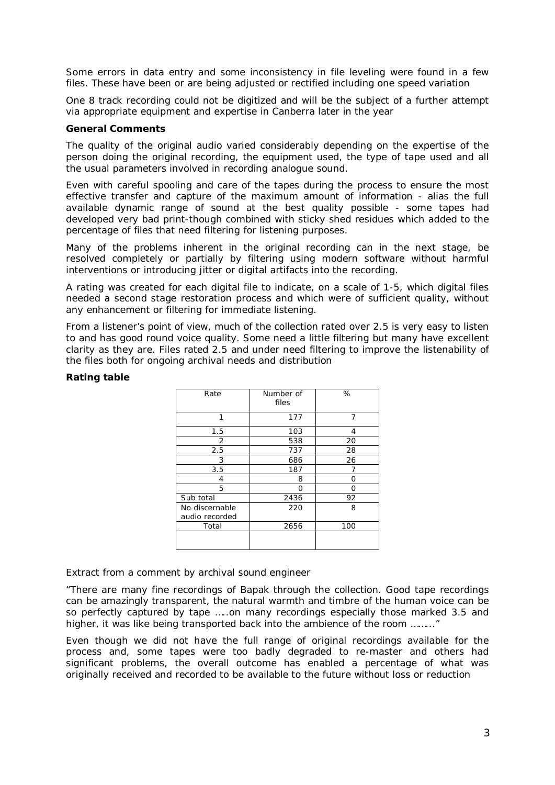Some errors in data entry and some inconsistency in file leveling were found in a few files. These have been or are being adjusted or rectified including one speed variation

One 8 track recording could not be digitized and will be the subject of a further attempt via appropriate equipment and expertise in Canberra later in the year

#### **General Comments**

The quality of the original audio varied considerably depending on the expertise of the person doing the original recording, the equipment used, the type of tape used and all the usual parameters involved in recording analogue sound.

Even with careful spooling and care of the tapes during the process to ensure the most effective transfer and capture of the maximum amount of information - alias the full available dynamic range of sound at the best quality possible - some tapes had developed very bad print-though combined with sticky shed residues which added to the percentage of files that need filtering for listening purposes.

Many of the problems inherent in the original recording can in the next stage, be resolved completely or partially by filtering using modern software without harmful interventions or introducing jitter or digital artifacts into the recording.

A rating was created for each digital file to indicate, on a scale of 1-5, which digital files needed a second stage restoration process and which were of sufficient quality, without any enhancement or filtering for immediate listening.

From a listener's point of view, much of the collection rated over 2.5 is very easy to listen to and has good round voice quality. Some need a little filtering but many have excellent clarity as they are. Files rated 2.5 and under need filtering to improve the listenability of the files both for ongoing archival needs and distribution

#### **Rating table**

| Rate                             | Number of<br>files | %   |
|----------------------------------|--------------------|-----|
| 1                                | 177                | 7   |
| 1.5                              | 103                | 4   |
| 2                                | 538                | 20  |
| 2.5                              | 737                | 28  |
| 3                                | 686                | 26  |
| 3.5                              | 187                |     |
| 4                                | 8                  | Ω   |
| 5                                | ∩                  | ∩   |
| Sub total                        | 2436               | 92  |
| No discernable<br>audio recorded | 220                | 8   |
| Total                            | 2656               | 100 |
|                                  |                    |     |

Extract from a comment by archival sound engineer

*"There are many fine recordings of Bapak through the collection. Good tape recordings can be amazingly transparent, the natural warmth and timbre of the human voice can be so perfectly captured by tape …..on many recordings especially those marked 3.5 and higher, it was like being transported back into the ambience of the room ……..."*

Even though we did not have the full range of original recordings available for the process and, some tapes were too badly degraded to re-master and others had significant problems, the overall outcome has enabled a percentage of what was originally received and recorded to be available to the future *without loss or reduction*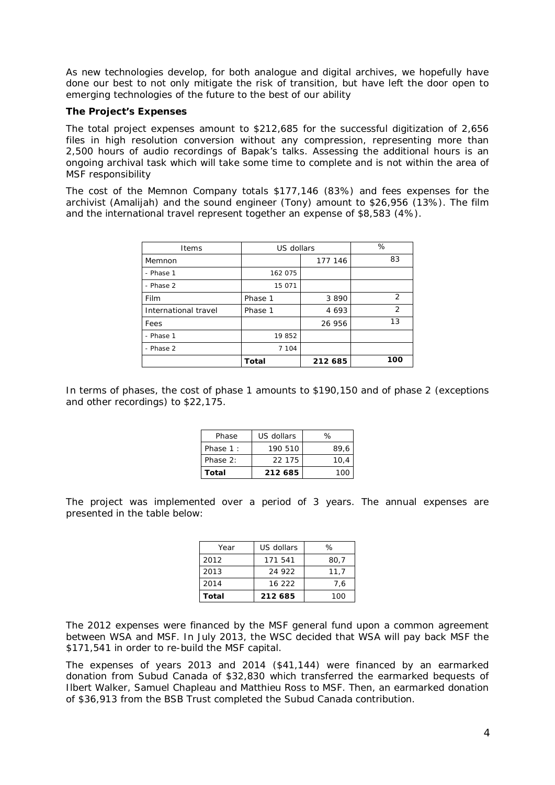As new technologies develop, for both analogue and digital archives, we hopefully have done our best to not only mitigate the risk of transition, but have left the door open to emerging technologies of the future to the best of our ability

#### **The Project's Expenses**

The total project expenses amount to \$212,685 for the successful digitization of 2,656 files in high resolution conversion without any compression, representing more than 2,500 hours of audio recordings of Bapak's talks. Assessing the additional hours is an ongoing archival task which will take some time to complete and is not within the area of MSF responsibility

The cost of the Memnon Company totals \$177,146 (83%) and fees expenses for the archivist (Amalijah) and the sound engineer (Tony) amount to \$26,956 (13%). The film and the international travel represent together an expense of \$8,583 (4%).

| Items                | US dollars |         | %   |  |
|----------------------|------------|---------|-----|--|
| Memnon               |            | 177 146 | 83  |  |
| - Phase 1            | 162075     |         |     |  |
| - Phase 2            | 15 071     |         |     |  |
| Film                 | Phase 1    | 3 8 9 0 | 2   |  |
| International travel | Phase 1    | 4 6 9 3 | 2   |  |
| Fees                 |            | 26 956  | 13  |  |
| - Phase 1            | 19852      |         |     |  |
| - Phase 2            | 7 1 0 4    |         |     |  |
|                      | Total      | 212 685 | 100 |  |

In terms of phases, the cost of phase 1 amounts to \$190,150 and of phase 2 (exceptions and other recordings) to \$22,175.

| Phase    | US dollars | ℅    |
|----------|------------|------|
| Phase 1: | 190 510    | 89.6 |
| Phase 2: | 22 175     | 10.4 |
| Total    | 212 685    | 100  |

The project was implemented over a period of 3 years. The annual expenses are presented in the table below:

| Year  | US dollars | ℅    |
|-------|------------|------|
| 2012  | 171 541    | 80.7 |
| 2013  | 24 922     | 11.7 |
| 2014  | 16 222     | 7.6  |
| Total | 212 685    | 100  |

The 2012 expenses were financed by the MSF general fund upon a common agreement between WSA and MSF. In July 2013, the WSC decided that WSA will pay back MSF the \$171,541 in order to re-build the MSF capital.

The expenses of years 2013 and 2014 (\$41,144) were financed by an earmarked donation from Subud Canada of \$32,830 which transferred the earmarked bequests of Ilbert Walker, Samuel Chapleau and Matthieu Ross to MSF. Then, an earmarked donation of \$36,913 from the BSB Trust completed the Subud Canada contribution.